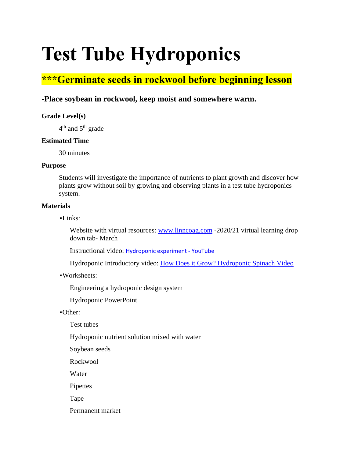# **Test Tube Hydroponics**

## **\*\*\*Germinate seeds in rockwool before beginning lesson**

### **-Place soybean in rockwool, keep moist and somewhere warm.**

#### **Grade Level(s)**

 $4<sup>th</sup>$  and  $5<sup>th</sup>$  grade

#### **Estimated Time**

30 minutes

#### **Purpose**

Students will investigate the importance of nutrients to plant growth and discover how plants grow without soil by growing and observing plants in a test tube hydroponics system.

#### **Materials**

 $-I$  inks:

Website with virtual resources: [www.linncoag.com](http://www.linncoag.com/) -2020/21 virtual learning drop down tab- March

Instructional video: [Hydroponic experiment -](https://www.youtube.com/watch?v=qLvx-OSMqZo) YouTube

Hydroponic Introductory video: [How Does it Grow? Hydroponic Spinach Video](https://www.youtube.com/watch?v=tG9bV2enwI0)

#### ▪Worksheets:

Engineering a hydroponic design system

Hydroponic PowerPoint

#### ▪Other:

Test tubes

Hydroponic nutrient solution mixed with water

Soybean seeds

Rockwool

Water

Pipettes

Tape

Permanent market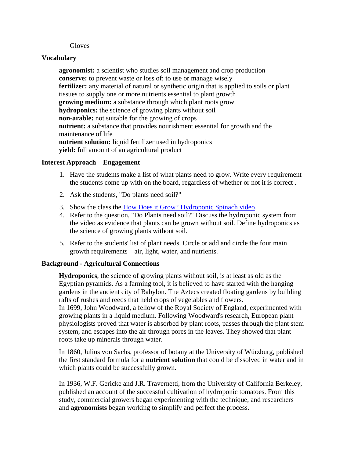#### **Gloves**

#### **Vocabulary**

**agronomist:** a scientist who studies soil management and crop production **conserve:** to prevent waste or loss of; to use or manage wisely **fertilizer:** any material of natural or synthetic origin that is applied to soils or plant tissues to supply one or more nutrients essential to plant growth **growing medium:** a substance through which plant roots grow **hydroponics:** the science of growing plants without soil **non-arable:** not suitable for the growing of crops **nutrient:** a substance that provides nourishment essential for growth and the maintenance of life **nutrient solution:** liquid fertilizer used in hydroponics **yield:** full amount of an agricultural product

#### **Interest Approach – Engagement**

- 1. Have the students make a list of what plants need to grow. Write every requirement the students come up with on the board, regardless of whether or not it is correct .
- 2. Ask the students, "Do plants need soil?"
- 3. Show the class the [How Does it Grow? Hydroponic Spinach video.](https://www.youtube.com/watch?v=tG9bV2enwI0)
- 4. Refer to the question, "Do Plants need soil?" Discuss the hydroponic system from the video as evidence that plants can be grown without soil. Define hydroponics as the science of growing plants without soil.
- 5. Refer to the students' list of plant needs. Circle or add and circle the four main growth requirements—air, light, water, and nutrients.

#### **Background - Agricultural Connections**

**Hydroponics**, the science of growing plants without soil, is at least as old as the Egyptian pyramids. As a farming tool, it is believed to have started with the hanging gardens in the ancient city of Babylon. The Aztecs created floating gardens by building rafts of rushes and reeds that held crops of vegetables and flowers. In 1699, John Woodward, a fellow of the Royal Society of England, experimented with growing plants in a liquid medium. Following Woodward's research, European plant physiologists proved that water is absorbed by plant roots, passes through the plant stem system, and escapes into the air through pores in the leaves. They showed that plant roots take up minerals through water.

In 1860, Julius von Sachs, professor of botany at the University of Würzburg, published the first standard formula for a **nutrient solution** that could be dissolved in water and in which plants could be successfully grown.

In 1936, W.F. Gericke and J.R. Travernetti, from the University of California Berkeley, published an account of the successful cultivation of hydroponic tomatoes. From this study, commercial growers began experimenting with the technique, and researchers and **agronomists** began working to simplify and perfect the process.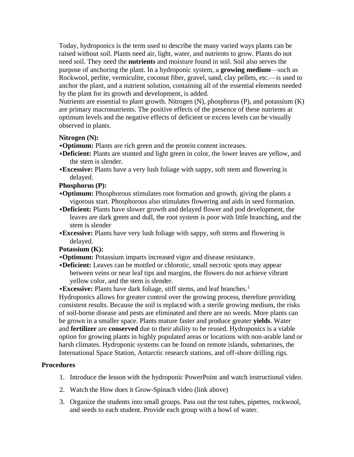Today, hydroponics is the term used to describe the many varied ways plants can be raised without soil. Plants need air, light, water, and nutrients to grow. Plants do not need soil. They need the **nutrients** and moisture found in soil. Soil also serves the purpose of anchoring the plant. In a hydroponic system, a **growing medium**—such as Rockwool, perlite, vermiculite, coconut fiber, gravel, sand, clay pellets, etc.—is used to anchor the plant, and a nutrient solution, containing all of the essential elements needed by the plant for its growth and development, is added.

Nutrients are essential to plant growth. Nitrogen (N), phosphorus (P), and potassium (K) are primary macronutrients. The positive effects of the presence of these nutrients at optimum levels and the negative effects of deficient or excess levels can be visually observed in plants.

#### **Nitrogen (N):**

- ▪**Optimum:** Plants are rich green and the protein content increases.
- ▪**Deficient:** Plants are stunted and light green in color, the lower leaves are yellow, and the stem is slender.
- **Excessive:** Plants have a very lush foliage with sappy, soft stem and flowering is delayed.

#### **Phosphorus (P):**

- ▪**Optimum:** Phosphorous stimulates root formation and growth, giving the plants a vigorous start. Phosphorous also stimulates flowering and aids in seed formation.
- ▪**Deficient:** Plants have slower growth and delayed flower and pod development, the leaves are dark green and dull, the root system is poor with little branching, and the stem is slender
- ▪**Excessive:** Plants have very lush foliage with sappy, soft stems and flowering is delayed.

#### **Potassium (K):**

- ▪**Optimum:** Potassium imparts increased vigor and disease resistance.
- ▪**Deficient:** Leaves can be mottled or chlorotic, small necrotic spots may appear between veins or near leaf tips and margins, the flowers do not achieve vibrant yellow color, and the stem is slender.

**Excessive:** Plants have dark foliage, stiff stems, and leaf branches.<sup>1</sup>

Hydroponics allows for greater control over the growing process, therefore providing consistent results. Because the soil is replaced with a sterile growing medium, the risks of soil-borne disease and pests are eliminated and there are no weeds. More plants can be grown in a smaller space. Plants mature faster and produce greater **yields**. Water and **fertilizer** are **conserved** due to their ability to be reused. Hydroponics is a viable option for growing plants in highly populated areas or locations with non-arable land or harsh climates. Hydroponic systems can be found on remote islands, submarines, the International Space Station, Antarctic research stations, and off-shore drilling rigs.

#### **Procedures**

- 1. Introduce the lesson with the hydroponic PowerPoint and watch instructional video.
- 2. Watch the How does it Grow-Spinach video (link above)
- 3. Organize the students into small groups. Pass out the test tubes, pipettes, rockwool, and seeds to each student. Provide each group with a bowl of water.